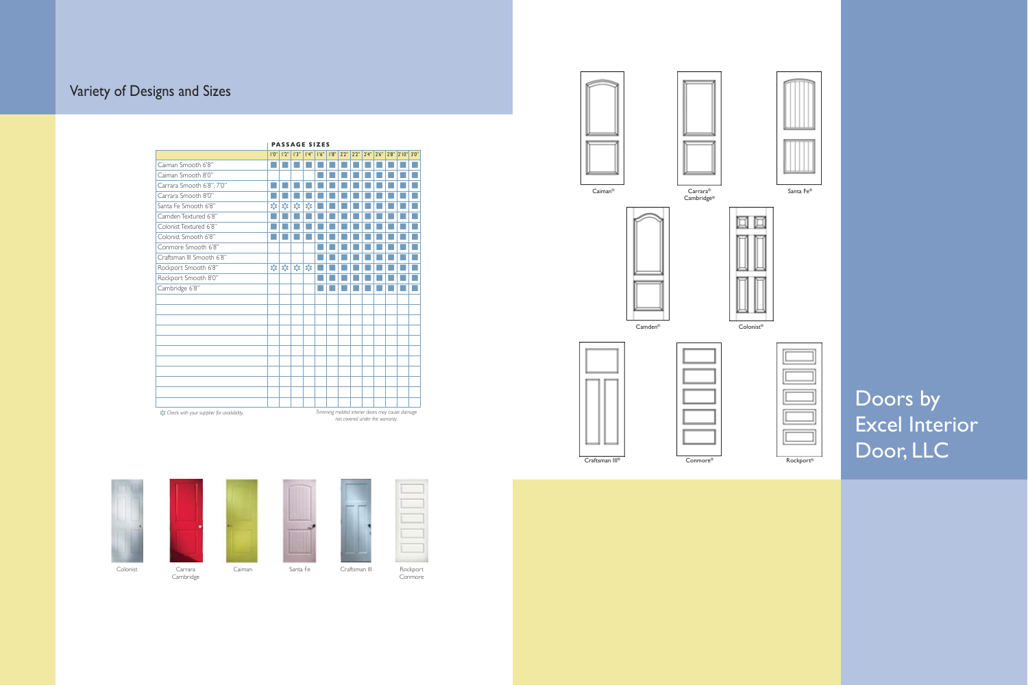Doors by Excel Interior Door, LLC

# Variety of Designs and Sizes

Caiman® Carrara®

Cambridge®





Craftsman III® Conmore®

Santa Fe®



Camden® Colonist®



**Cambridge** 

Rockport<br>Conmore







|                           |                                    | <b>PASSAGE SIZES</b>                                |                                                     |                                        |       |       |       |       |       |       |  |            |       |  |
|---------------------------|------------------------------------|-----------------------------------------------------|-----------------------------------------------------|----------------------------------------|-------|-------|-------|-------|-------|-------|--|------------|-------|--|
|                           | 1'0''                              | 1'2''                                               | 1'3''                                               | 4"                                     | 1'6'' | 1'8'' | 2'2'' | 2'2'' | 2'4'' | 2'6'' |  | 2'8" 2'10" | 3'0'' |  |
| Caiman Smooth 6'8"        |                                    |                                                     |                                                     |                                        |       |       |       |       |       |       |  |            |       |  |
| Caiman Smooth 8'0"        |                                    |                                                     |                                                     |                                        |       |       |       |       |       |       |  |            |       |  |
| Carrara Smooth 6'8", 7'0" |                                    |                                                     |                                                     |                                        |       |       |       |       |       |       |  |            |       |  |
| Carrara Smooth 8'0"       |                                    |                                                     |                                                     |                                        |       |       |       |       |       |       |  |            |       |  |
| Santa Fe Smooth 6'8"      | $\frac{1}{2}$                      | $\mathbf{s}_k^{\mathbf{r}_k}$                       | $\mathbf{S}^{\mathbf{R}}_{\mathbf{S}^{\mathbf{R}}}$ | $\mathbf{S}^{\mathbf{R}}_{\mathbf{S}}$ |       |       |       |       |       |       |  |            |       |  |
| Camden Textured 6'8"      |                                    |                                                     |                                                     |                                        |       |       |       |       |       |       |  |            |       |  |
| Colonist Textured 6'8"    |                                    |                                                     |                                                     |                                        |       |       |       |       |       |       |  |            |       |  |
| Colonist Smooth 6'8"      |                                    |                                                     |                                                     |                                        |       |       |       |       |       |       |  |            |       |  |
| Conmore Smooth 6'8"       |                                    |                                                     |                                                     |                                        |       |       |       |       |       |       |  |            |       |  |
| Craftsman III Smooth 6'8" |                                    |                                                     |                                                     |                                        |       |       |       |       |       |       |  |            |       |  |
| Rockport Smooth 6'8"      | $\mathbf{S}_\mathbf{S}^\mathbf{R}$ | $\mathbf{S}^{\mathbf{R}}_{\mathbf{S}^{\mathbf{R}}}$ | $\mathbf{S}^{\text{R}}_{\text{A}}$                  | $\hat{\sigma}^{\text{P}}_{\text{d}}$   |       |       |       |       |       |       |  |            |       |  |
| Rockport Smooth 8'0"      |                                    |                                                     |                                                     |                                        |       |       |       |       |       |       |  |            |       |  |
| Cambridge 6'8"            |                                    |                                                     |                                                     |                                        |       |       |       |       |       |       |  |            |       |  |
|                           |                                    |                                                     |                                                     |                                        |       |       |       |       |       |       |  |            |       |  |
|                           |                                    |                                                     |                                                     |                                        |       |       |       |       |       |       |  |            |       |  |
|                           |                                    |                                                     |                                                     |                                        |       |       |       |       |       |       |  |            |       |  |
|                           |                                    |                                                     |                                                     |                                        |       |       |       |       |       |       |  |            |       |  |
|                           |                                    |                                                     |                                                     |                                        |       |       |       |       |       |       |  |            |       |  |
|                           |                                    |                                                     |                                                     |                                        |       |       |       |       |       |       |  |            |       |  |
|                           |                                    |                                                     |                                                     |                                        |       |       |       |       |       |       |  |            |       |  |
|                           |                                    |                                                     |                                                     |                                        |       |       |       |       |       |       |  |            |       |  |
|                           |                                    |                                                     |                                                     |                                        |       |       |       |       |       |       |  |            |       |  |
|                           |                                    |                                                     |                                                     |                                        |       |       |       |       |       |       |  |            |       |  |
|                           |                                    |                                                     |                                                     |                                        |       |       |       |       |       |       |  |            |       |  |





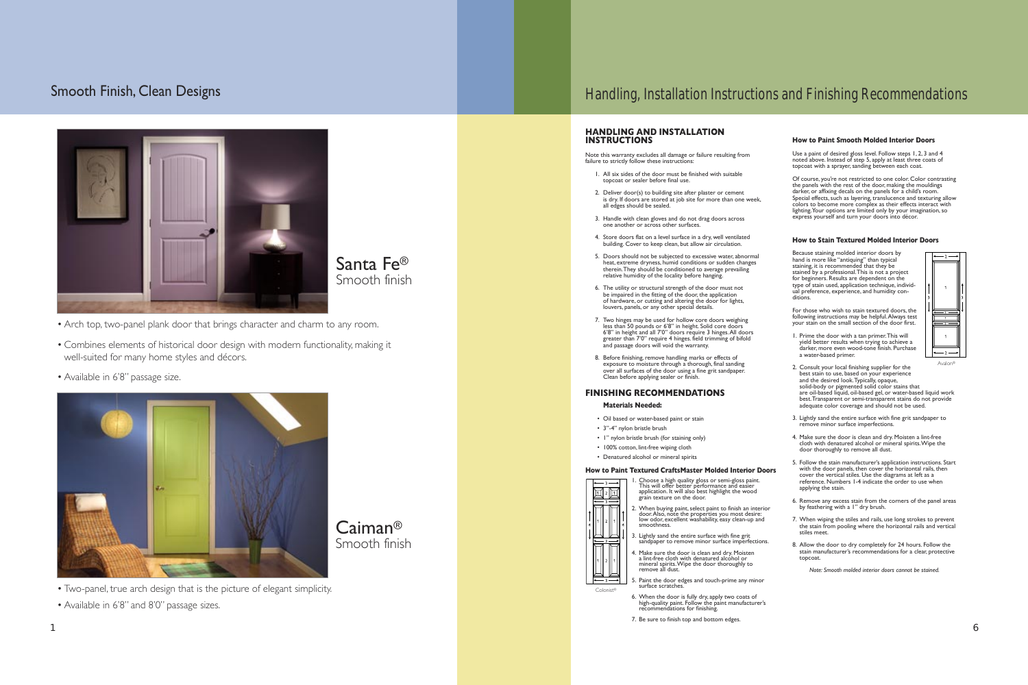## Smooth Finish, Clean Designs

• Arch top, two-panel plank door that brings character and charm to any room.

• Combines elements of historical door design with modern functionality, making it well-suited for many home styles and décors.

• Available in 6'8" passage size.



• Two-panel, true arch design that is the picture of elegant simplicity.

• Available in 6'8" and 8'0" passage sizes.

## Handling, Installation Instructions and Finishing Recommendations

### **HANDLING AND INSTALLATION INSTRUCTIONS**

Note this warranty excludes all damage or failure resulting from failure to strictly follow these instructions:

- 1. All six sides of the door must be finished with suitable topcoat or sealer before final use.
- 2. Deliver door(s) to building site after plaster or cement is dry. If doors are stored at job site for more than one week, all edges should be sealed.
- 3. Handle with clean gloves and do not drag doors across one another or across other surfaces.
- 4. Store doors flat on a level surface in a dry, well ventilated building. Cover to keep clean, but allow air circulation.
- 5. Doors should not be subjected to excessive water, abnormal heat, extreme dryness, humid conditions or sudden changes therein. They should be conditioned to average prevailing relative humidity of the locality before hanging.
- 6. The utility or structural strength of the door must not be impaired in the fitting of the door, the application of hardware, or cutting and altering the door for lights, louvers, panels, or any other special details.
- 7. Two hinges may be used for hollow core doors weighing less than 50 pounds or 6'8" in height. Solid core doors 6'8" in height and all 7'0" doors require 3 hinges. All doors greater than 7'0" require 4 hinges. field trimming of bifold and passage doors will void the warranty.
- 8. Before finishing, remove handling marks or effects of exposure to moisture through a thorough, final sanding over all surfaces of the door using a fine grit sandpaper. Clean before applying sealer or finish.

### **FINISHING RECOMMENDATIONS**

### **Materials Needed:**

- Oil based or water-based paint or stain
- 3"-4" nylon bristle brush
- 1" nylon bristle brush (for staining only) • 100% cotton, lint-free wiping cloth
- Denatured alcohol or mineral spirits

### **How to Paint Textured CraftsMaster Molded Interior Doors**



- 6. When the door is fully dry, apply two coats of high-quality paint. Follow the paint manufacturer's recommendations for finishing.
- 7. Be sure to finish top and bottom edges.

### **How to Paint Smooth Molded Interior Doors**

Use a paint of desired gloss level. Follow steps 1, 2, 3 and 4 noted above. Instead of step 5, apply at least three coats of topcoat with a sprayer, sanding between each coat.

Of course, you're not restricted to one color. Color contrasting the panels with the rest of the door, making the mouldings darker, or affixing decals on the panels for a child's room. Special effects, such as layering, translucence and texturing allow colors to become more complex as their effects interact with lighting. Your options are limited only by your imagination, so express yourself and turn your doors into décor.

### **How to Stain Textured Molded Interior Doors**

Because staining molded interior doors by hand is more like "antiquing" than typical staining, it is recommended that they be stained by a professional. This is not a project for beginners. Results are dependent on the type of stain used, application technique, individual preference, experience, and humidity conditions.

For those who wish to stain textured doors, the following instructions may be helpful. Always test your stain on the small section of the door first.

1. Prime the door with a tan primer. This will yield better results when trying to achieve a darker, more even wood-tone finish. Purchase a water-based primer.



- 2. Consult your local finishing supplier for the best stain to use, based on your experience and the desired look. Typically, opaque, solid-body or pigmented solid color stains that are oil-based liquid, oil-based gel, or water-based liquid work best. Transparent or semi-transparent stains do not provide adequate color coverage and should not be used.
- 3. Lightly sand the entire surface with fine grit sandpaper to remove minor surface imperfections.
- 4. Make sure the door is clean and dry. Moisten a lint-free cloth with denatured alcohol or mineral spirits. Wipe the door thoroughly to remove all dust.
- 5. Follow the stain manufacturer's application instructions. Start with the door panels, then cover the horizontal rails, then cover the vertical stiles. Use the diagrams at left as a reference. Numbers 1-4 indicate the order to use when applying the stain.
- 6. Remove any excess stain from the corners of the panel areas by feathering with a 1" dry brush.
- 7. When wiping the stiles and rails, use long strokes to prevent the stain from pooling where the horizontal rails and vertical stiles meet.
- 8. Allow the door to dry completely for 24 hours. Follow the stain manufacturer's recommendations for a clear, protective topcoat.

*Note: Smooth molded interior doors cannot be stained.*

 $\sim$  6

Avalon®



Caiman®

Smooth finish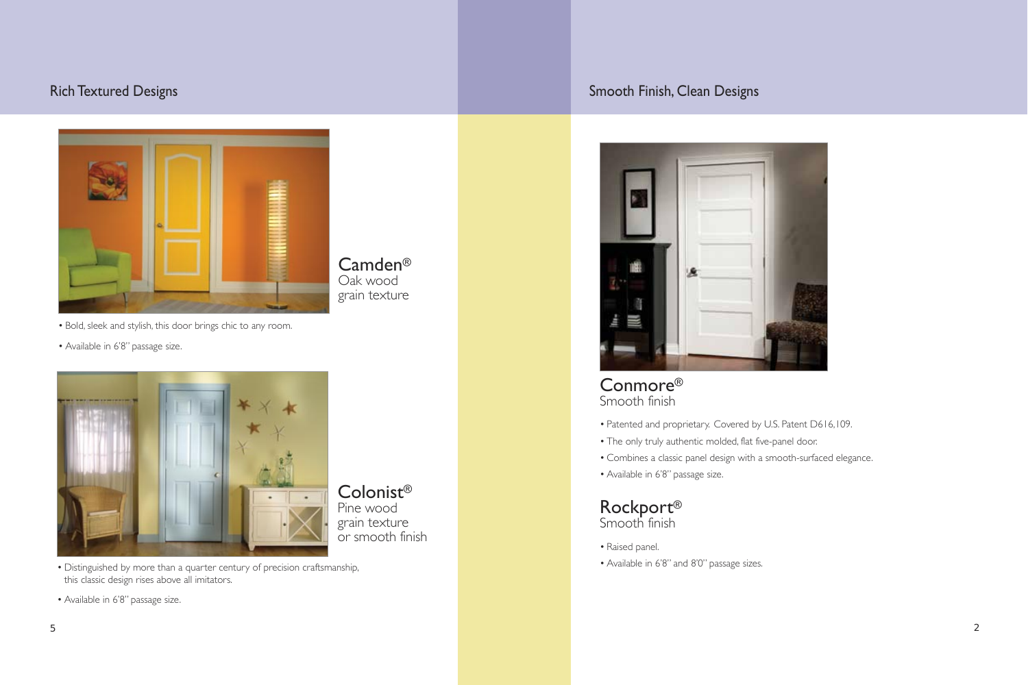- Bold, sleek and stylish, this door brings chic to any room.
- Available in 6'8" passage size.



## Conmore® Smooth finish

• Patented and proprietary. Covered by U.S. Patent D616,109.

- 
- The only truly authentic molded, flat five-panel door.
- 
- Available in 6'8" passage size.

• Combines a classic panel design with a smooth-surfaced elegance.



- Raised panel.
- Available in 6'8" and 8'0" passage sizes.

## Rich Textured Designs **Smooth Finish, Clean Designs** Smooth Finish, Clean Designs



Camden® Oak wood grain texture

• Distinguished by more than a quarter century of precision craftsmanship, this classic design rises above all imitators.

• Available in 6'8" passage size.



Colonist®

Pine wood

grain texture

or smooth finish